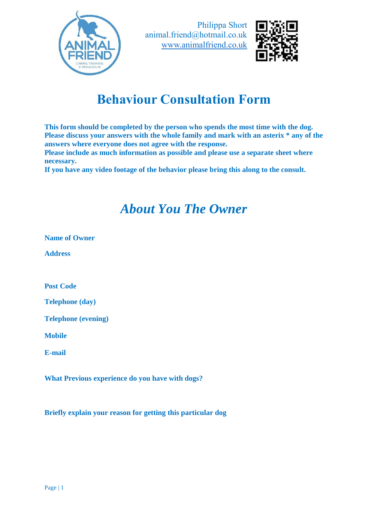



# **Behavi[our Consultation Form](http://www.animalfriend.co.uk/)**

**This form should be complete[d by the person who spends the most time wi](http://www.animalfriend.co.uk/)th the dog. Please discuss your answers w[ith the whole family and mark with an asterix](http://www.animalfriend.co.uk/) \* any of the answers where everyone does [not agree with the response.](http://www.animalfriend.co.uk/)**

**Please include as much infor[mation as possible and please use a separate sh](http://www.animalfriend.co.uk/)eet where necessary.**

**If you have any video footage [of the behavior please bring this along to the](http://www.animalfriend.co.uk/) consult.**

#### *Ab[out You The Owner](http://www.animalfriend.co.uk/)*

**Name of Owner**

**Address**

**Post Code**

**Telephone (day)**

**Telephone (evening)**

**Mobile**

**E-mail**

**What Previous experience do [you have with dogs?](http://www.animalfriend.co.uk/)**

**Briefly explain your reason fo[r getting this particular dog](http://www.animalfriend.co.uk/)**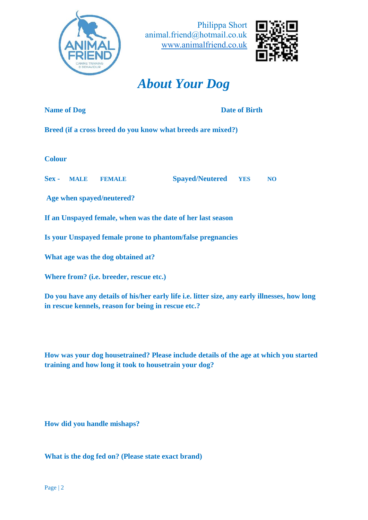



#### *[About Your Dog](http://www.animalfriend.co.uk/)*

**Name of Dog Birth** 

**Breed (if a cross breed do you [know what breeds are mixed?\)](http://www.animalfriend.co.uk/)** 

**Colour**

**Sex - MALE FEMALE [Spayed/Neutered](http://www.animalfriend.co.uk/) YES NO**

**Age when spayed/neutered?**

**If an Unspayed female, when [was the date of her last season](http://www.animalfriend.co.uk/)**

**Is your Unspayed female pron[e to phantom/false pregnancies](http://www.animalfriend.co.uk/)**

**What age was the dog obtaine[d at?](http://www.animalfriend.co.uk/)** 

**Where from? (i.e. breeder, res[cue etc.\)](http://www.animalfriend.co.uk/)**

**Do you have any details of his/[her early life i.e. litter size, any early illnesses](http://www.animalfriend.co.uk/), how long in rescue kennels, reason for b[eing in rescue etc.?](http://www.animalfriend.co.uk/)**

**How was your dog housetrain[ed? Please include details of the age at which](http://www.animalfriend.co.uk/) you started training and how long it took t[o housetrain your dog?](http://www.animalfriend.co.uk/)**

**How did you handle mishaps?**

**What is the dog fed on? (Pleas[e state exact brand\)](http://www.animalfriend.co.uk/)**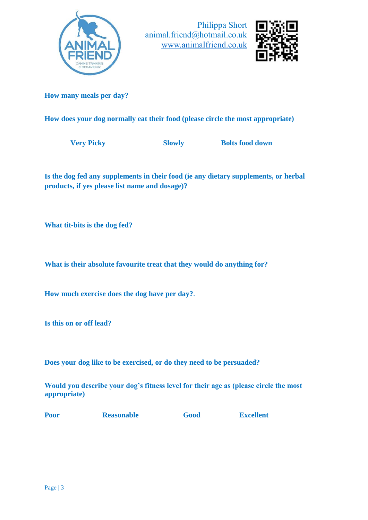



**How many meals per day?**

**How does your dog normally [eat their food \(please circle the most appropri](http://www.animalfriend.co.uk/)ate)**

**Very Picky Slowly Bolts food down** 

**Is the dog fed any supplement[s in their food \(ie any dietary supplements, or](http://www.animalfriend.co.uk/) herbal products, if yes please list na[me and dosage\)?](http://www.animalfriend.co.uk/)**

**What tit-bits is the dog fed?**

What is their absolute favouri[te treat that they would do anything for?](http://www.animalfriend.co.uk/)

**How much exercise does the d[og have per day?](http://www.animalfriend.co.uk/)**.

**Is this on or off lead?**

**Does your dog like to be exerc[ised, or do they need to be persuaded?](http://www.animalfriend.co.uk/)**

**Would you describe your dog'[s fitness level for their age as \(please circle th](http://www.animalfriend.co.uk/)e most appropriate)**

**Poor Reasonable Good Excellent**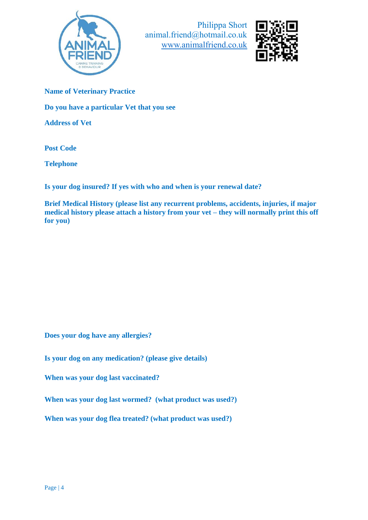



**Name of Veterinary Practice**

**Do you have a particular Vet t[hat you see](http://www.animalfriend.co.uk/)**

**Address of Vet**

**Post Code**

**Telephone**

**Is your dog insured? If yes wit[h who and when is your renewal date?](http://www.animalfriend.co.uk/)**

**Brief Medical History (please [list any recurrent problems, accidents, injurie](http://www.animalfriend.co.uk/)s, if major medical history please attach [a history from your vet –](http://www.animalfriend.co.uk/) they will normally print this off for you)**

**Does your dog have any allerg[ies?](http://www.animalfriend.co.uk/)**

**Is your dog on any medication[? \(please give details\)](http://www.animalfriend.co.uk/)**

**When was your dog last vacci[nated?](http://www.animalfriend.co.uk/)**

**When was your dog last worm[ed? \(what product was used?\)](http://www.animalfriend.co.uk/)** 

**When was your dog flea treated? [\(what product was used?\)](http://www.animalfriend.co.uk/)**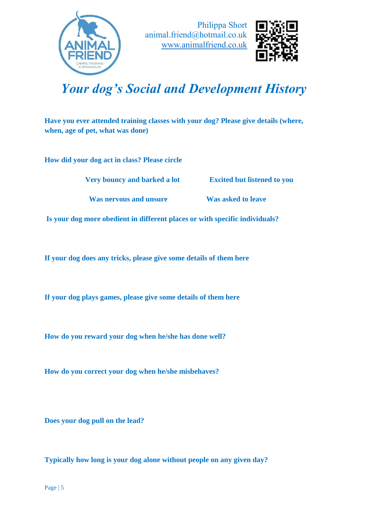



# *Your dog's So[cial and Development His](http://www.animalfriend.co.uk/)tory*

**Have you ever attended traini[ng classes with your dog? Please give details \(](http://www.animalfriend.co.uk/)where, when, age of pet, what was do[ne\)](http://www.animalfriend.co.uk/)**

**How did your dog act in class[? Please circle](http://www.animalfriend.co.uk/)**

 **Very bouncy and [barked a lot Excited but listened to](http://www.animalfriend.co.uk/) you** 

 **Was nervous an[d unsure Was asked to leave](http://www.animalfriend.co.uk/)** 

**Is your dog more obedient in [different places or with specific individuals?](http://www.animalfriend.co.uk/)**

**If your dog does any tricks, pl[ease give some details of them here](http://www.animalfriend.co.uk/)**

**If your dog plays games, pleas[e give some details of them here](http://www.animalfriend.co.uk/)**

**How do you reward your dog [when he/she has done well?](http://www.animalfriend.co.uk/)**

**How do you correct your dog [when he/she misbehaves?](http://www.animalfriend.co.uk/)**

**Does your dog pull on the lead[?](http://www.animalfriend.co.uk/)**

**Typically how long is your do[g alone without people on any given day?](http://www.animalfriend.co.uk/)**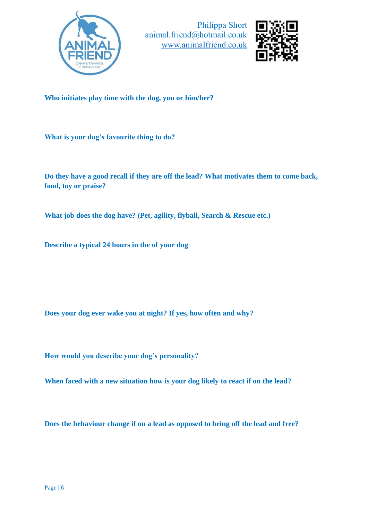



**Who initiates play time with t[he dog, you or him/her?](http://www.animalfriend.co.uk/)**

**What is your dog's favourite t[hing to do?](http://www.animalfriend.co.uk/)**

**Do they have a good recall if t[hey are off the lead? What motivates them to](http://www.animalfriend.co.uk/) come back, food, toy or praise?**

**What job does the dog have? ([Pet, agility, flyball, Search & Rescue etc.\)](http://www.animalfriend.co.uk/)**

**Describe a typical 24 hours in [the of your dog](http://www.animalfriend.co.uk/)**

**Does your dog ever wake you [at night? If yes, how often and why?](http://www.animalfriend.co.uk/)**

**How would you describe your [dog's personality?](http://www.animalfriend.co.uk/)**

When faced with a new situati[on how is your dog likely to react if on the lea](http://www.animalfriend.co.uk/)d?

**Does the behaviour change if [on a lead as opposed to being off the lead and](http://www.animalfriend.co.uk/) free?**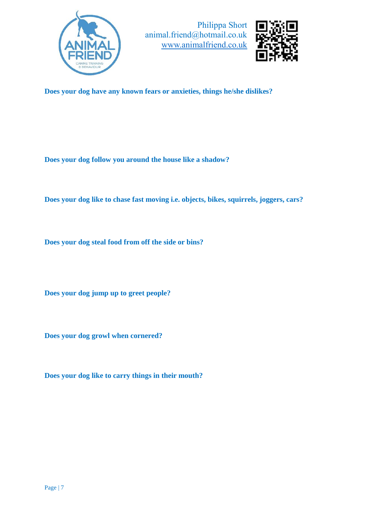



**Does your dog have any know[n fears or anxieties, things he/she dislikes?](http://www.animalfriend.co.uk/)**

**Does your dog follow you aro[und the house like a shadow?](http://www.animalfriend.co.uk/)**

**Does your dog like to chase fa[st moving i.e. objects, bikes, squirrels, joggers](http://www.animalfriend.co.uk/), cars?**

**Does your dog steal food from [off the side or bins?](http://www.animalfriend.co.uk/)**

**Does your dog jump up to gre[et people?](http://www.animalfriend.co.uk/)**

**Does your dog growl when cor[nered?](http://www.animalfriend.co.uk/)**

**Does your dog like to carry thi[ngs in their mouth?](http://www.animalfriend.co.uk/)**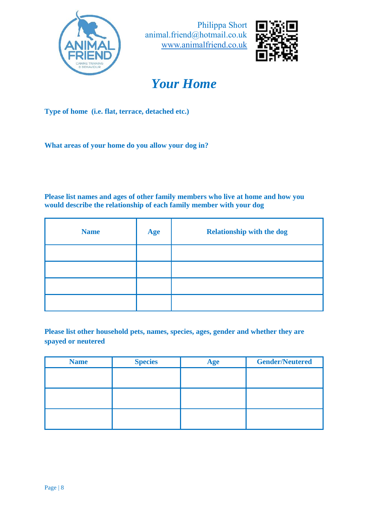



# *[Your Home](http://www.animalfriend.co.uk/)*

**Type of home (i.e. flat, terrac[e, detached etc.\)](http://www.animalfriend.co.uk/)**

**What areas of your home do y[ou allow your dog in?](http://www.animalfriend.co.uk/)**

**Please list names and ages of o[ther family members who live](http://www.animalfriend.co.uk/) at home and how you would describe the relationshi[p of each family member with your dog](http://www.animalfriend.co.uk/)**

| <b>Name</b> | Age | <b>Relationship with the dog</b> |  |
|-------------|-----|----------------------------------|--|
|             |     |                                  |  |
|             |     |                                  |  |
|             |     |                                  |  |
|             |     |                                  |  |

**Please list other household pet[s, names, species, ages, gender and whether t](http://www.animalfriend.co.uk/)hey are spayed or neutered**

| <b>Name</b> | <b>Species</b> | Age | <b>Gender/Neutered</b> |
|-------------|----------------|-----|------------------------|
|             |                |     |                        |
|             |                |     |                        |
|             |                |     |                        |
|             |                |     |                        |
|             |                |     |                        |
|             |                |     |                        |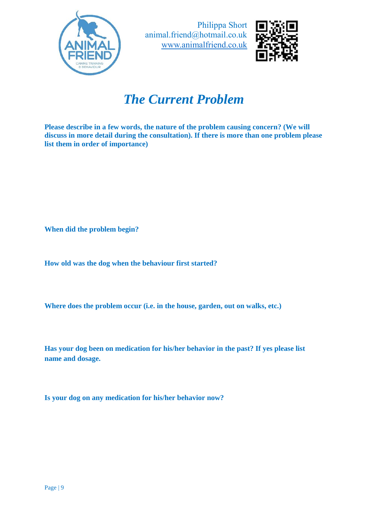



#### *Th[e Current Problem](http://www.animalfriend.co.uk/)*

**Please describe in a few words[, the nature of the problem causing concern?](http://www.animalfriend.co.uk/) (We will discuss in more detail during t[he consultation\). If there is more than one pro](http://www.animalfriend.co.uk/)blem please list them in order of importan[ce\)](http://www.animalfriend.co.uk/)**

**When did the problem begin?**

**How old was the dog when the [behaviour first started?](http://www.animalfriend.co.uk/)**

**Where does the problem occu[r \(i.e. in the house, garden, out on walks, etc.\)](http://www.animalfriend.co.uk/)**

**Has your dog been on medicat[ion for his/her behavior in](http://www.animalfriend.co.uk/) the past? If yes please list name and dosage.**

**Is your dog on any medication [for his/her behavior now?](http://www.animalfriend.co.uk/)**